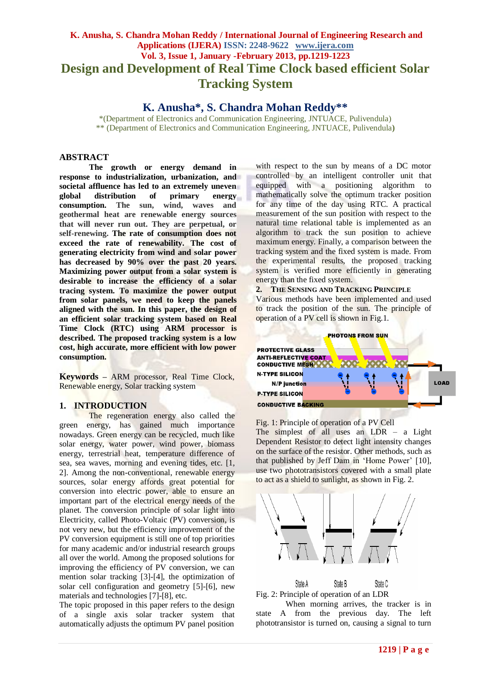# **K. Anusha, S. Chandra Mohan Reddy / International Journal of Engineering Research and Applications (IJERA) ISSN: 2248-9622 www.ijera.com Vol. 3, Issue 1, January -February 2013, pp.1219-1223 Design and Development of Real Time Clock based efficient Solar Tracking System**

**K. Anusha\*, S. Chandra Mohan Reddy\*\***

\*(Department of Electronics and Communication Engineering, JNTUACE, Pulivendula) \*\* (Department of Electronics and Communication Engineering, JNTUACE, Pulivendula**)**

# **ABSTRACT**

**The growth or energy demand in response to industrialization, urbanization, and societal affluence has led to an extremely uneven global distribution of primary energy consumption. The sun, wind, waves and geothermal heat are renewable energy sources that will never run out. They are perpetual, or self-renewing. The rate of consumption does not exceed the rate of renewability. The cost of generating electricity from wind and solar power has decreased by 90% over the past 20 years. Maximizing power output from a solar system is desirable to increase the efficiency of a solar tracing system. To maximize the power output from solar panels, we need to keep the panels aligned with the sun. In this paper, the design of an efficient solar tracking system based on Real Time Clock (RTC) using ARM processor is described. The proposed tracking system is a low cost, high accurate, more efficient with low power consumption.**

**Keywords –** ARM processor, Real Time Clock, Renewable energy, Solar tracking system

# **1. INTRODUCTION**

The regeneration energy also called the green energy, has gained much importance nowadays. Green energy can be recycled, much like solar energy, water power, wind power, biomass energy, terrestrial heat, temperature difference of sea, sea waves, morning and evening tides, etc. [1, 2]. Among the non-conventional, renewable energy sources, solar energy affords great potential for conversion into electric power, able to ensure an important part of the electrical energy needs of the planet. The conversion principle of solar light into Electricity, called Photo-Voltaic (PV) conversion, is not very new, but the efficiency improvement of the PV conversion equipment is still one of top priorities for many academic and/or industrial research groups all over the world. Among the proposed solutions for improving the efficiency of PV conversion, we can mention solar tracking [3]-[4], the optimization of solar cell configuration and geometry [5]-[6], new materials and technologies [7]-[8], etc.

The topic proposed in this paper refers to the design of a single axis solar tracker system that automatically adjusts the optimum PV panel position

with respect to the sun by means of a DC motor controlled by an intelligent controller unit that equipped with a positioning algorithm to mathematically solve the optimum tracker position for any time of the day using RTC. A practical measurement of the sun position with respect to the natural time relational table is implemented as an algorithm to track the sun position to achieve maximum energy. Finally, a comparison between the tracking system and the fixed system is made. From the experimental results, the proposed tracking system is verified more efficiently in generating energy than the fixed system.

**2. THE SENSING AND TRACKING PRINCIPLE** Various methods have been implemented and used to track the position of the sun. The principle of operation of a PV cell is shown in Fig.1.



Fig. 1: Principle of operation of a PV Cell The simplest of all uses an LDR – a Light Dependent Resistor to detect light intensity changes on the surface of the resistor. Other methods, such as that published by Jeff Dam in "Home Power" [10], use two phototransistors covered with a small plate to act as a shield to sunlight, as shown in Fig. 2.





When morning arrives, the tracker is in state A from the previous day. The left phototransistor is turned on, causing a signal to turn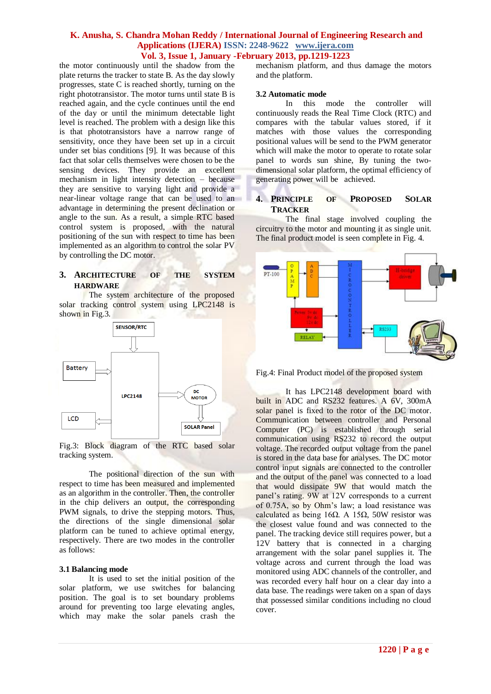the motor continuously until the shadow from the plate returns the tracker to state B. As the day slowly progresses, state C is reached shortly, turning on the right phototransistor. The motor turns until state B is reached again, and the cycle continues until the end of the day or until the minimum detectable light level is reached. The problem with a design like this is that phototransistors have a narrow range of sensitivity, once they have been set up in a circuit under set bias conditions [9]. It was because of this fact that solar cells themselves were chosen to be the sensing devices. They provide an excellent mechanism in light intensity detection – because they are sensitive to varying light and provide a near-linear voltage range that can be used to an advantage in determining the present declination or angle to the sun. As a result, a simple RTC based control system is proposed, with the natural positioning of the sun with respect to time has been implemented as an algorithm to control the solar PV by controlling the DC motor.

# **3. ARCHITECTURE OF THE SYSTEM HARDWARE**

The system architecture of the proposed solar tracking control system using LPC2148 is shown in Fig. 3.



Fig.3: Block diagram of the RTC based solar tracking system.

The positional direction of the sun with respect to time has been measured and implemented as an algorithm in the controller. Then, the controller in the chip delivers an output, the corresponding PWM signals, to drive the stepping motors. Thus, the directions of the single dimensional solar platform can be tuned to achieve optimal energy, respectively. There are two modes in the controller as follows:

## **3.1 Balancing mode**

It is used to set the initial position of the solar platform, we use switches for balancing position. The goal is to set boundary problems around for preventing too large elevating angles, which may make the solar panels crash the mechanism platform, and thus damage the motors and the platform.

# **3.2 Automatic mode**

In this mode the controller will continuously reads the Real Time Clock (RTC) and compares with the tabular values stored, if it matches with those values the corresponding positional values will be send to the PWM generator which will make the motor to operate to rotate solar panel to words sun shine, By tuning the twodimensional solar platform, the optimal efficiency of generating power will be achieved.

# **4. PRINCIPLE OF PROPOSED SOLAR TRACKER**

The final stage involved coupling the circuitry to the motor and mounting it as single unit. The final product model is seen complete in Fig. 4.



Fig.4: Final Product model of the proposed system

It has LPC2148 development board with built in ADC and RS232 features. A 6V, 300mA solar panel is fixed to the rotor of the DC motor. Communication between controller and Personal Computer (PC) is established through serial communication using RS232 to record the output voltage. The recorded output voltage from the panel is stored in the data base for analyses. The DC motor control input signals are connected to the controller and the output of the panel was connected to a load that would dissipate 9W that would match the panel's rating. 9W at 12V corresponds to a current of 0.75A, so by Ohm"s law; a load resistance was calculated as being 16Ω. A 15Ω, 50W resistor was the closest value found and was connected to the panel. The tracking device still requires power, but a 12V battery that is connected in a charging arrangement with the solar panel supplies it. The voltage across and current through the load was monitored using ADC channels of the controller, and was recorded every half hour on a clear day into a data base. The readings were taken on a span of days that possessed similar conditions including no cloud cover.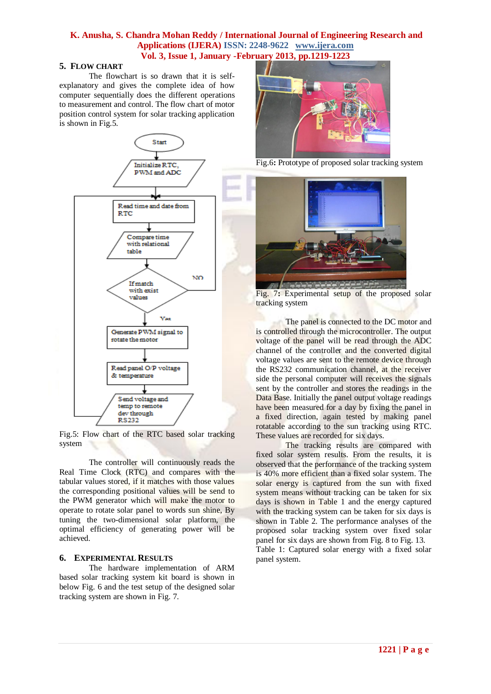#### **5. FLOW CHART**

The flowchart is so drawn that it is selfexplanatory and gives the complete idea of how computer sequentially does the different operations to measurement and control. The flow chart of motor position control system for solar tracking application is shown in Fig.5.



Fig.5: Flow chart of the RTC based solar tracking system

The controller will continuously reads the Real Time Clock (RTC) and compares with the tabular values stored, if it matches with those values the corresponding positional values will be send to the PWM generator which will make the motor to operate to rotate solar panel to words sun shine, By tuning the two-dimensional solar platform, the optimal efficiency of generating power will be achieved.

## **6. EXPERIMENTAL RESULTS**

The hardware implementation of ARM based solar tracking system kit board is shown in below Fig. 6 and the test setup of the designed solar tracking system are shown in Fig. 7.



Fig.6**:** Prototype of proposed solar tracking system



Fig. 7**:** Experimental setup of the proposed solar tracking system

The panel is connected to the DC motor and is controlled through the microcontroller. The output voltage of the panel will be read through the ADC channel of the controller and the converted digital voltage values are sent to the remote device through the RS232 communication channel, at the receiver side the personal computer will receives the signals sent by the controller and stores the readings in the Data Base. Initially the panel output voltage readings have been measured for a day by fixing the panel in a fixed direction, again tested by making panel rotatable according to the sun tracking using RTC. These values are recorded for six days.

The tracking results are compared with fixed solar system results. From the results, it is observed that the performance of the tracking system is 40% more efficient than a fixed solar system. The solar energy is captured from the sun with fixed system means without tracking can be taken for six days is shown in Table 1 and the energy captured with the tracking system can be taken for six days is shown in Table 2. The performance analyses of the proposed solar tracking system over fixed solar panel for six days are shown from Fig. 8 to Fig. 13. Table 1: Captured solar energy with a fixed solar panel system.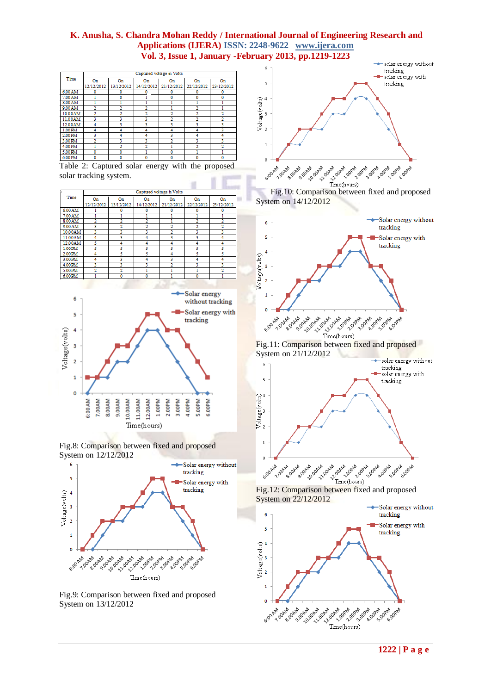| Time    | Captured voltage in Volts |            |            |            |            |            |  |  |
|---------|---------------------------|------------|------------|------------|------------|------------|--|--|
|         | On                        | On         | On         | On         | On         | On         |  |  |
|         | 12/12/2012                | 13/12/2012 | 14/12/2012 | 21/12/2012 | 22/12/2012 | 23/12/2012 |  |  |
| 6.00 AM | ٥                         | 0          | 0          | 0          | 0          | 0          |  |  |
| 7.00 AM |                           | ٥          |            | ٥          | 0          | ٥          |  |  |
| 8.00 AM |                           |            |            |            |            |            |  |  |
| 9.00 AM | 2                         |            | ŋ,         |            | 2          |            |  |  |
| 10.00AM |                           |            |            |            |            |            |  |  |
| 11.00AM | ٦                         | ٦          | 3          |            | 2          | 2          |  |  |
| 12.00AM | 4                         | 3          | 3          | 3          | 3          | 3          |  |  |
| 1.00 PM | 4                         | 4          | 4          | 4          | 4          | 3          |  |  |
| 2.00 PM | ٦                         |            | 4          | ٦          | 4          | 4          |  |  |
| 3.00 PM |                           | ٦          | 3          |            | 3          | 3          |  |  |
| 4.00 PM |                           | 2          | ŋ,         |            | 2          | ŋ,         |  |  |
| 5.00 PM | 0                         | 0          |            | 0          |            |            |  |  |
| 6.00 PM | ٥                         | 0          | 0          | ٥          | 0          | ٥          |  |  |

Table 2: Captured solar energy with the proposed solar tracking system.

| Time    | Captured voltage in Volts |            |            |            |            |                |  |  |  |
|---------|---------------------------|------------|------------|------------|------------|----------------|--|--|--|
|         | On                        | On         | On         | On         | On         | On             |  |  |  |
|         | 12/12/2012                | 13/12/2012 | 14/12/2012 | 21/12/2012 | 22/12/2012 | 23/12/2012     |  |  |  |
| 6.00 AM |                           | ٥          | 0          | ٥          | ٥          | ٥              |  |  |  |
| 7.00 AM |                           |            |            |            |            |                |  |  |  |
| 8.00 AM |                           | 2          | 2          |            |            | 2              |  |  |  |
| 9.00 AM | ٩                         | 2          | 2          |            | 2          | 2              |  |  |  |
| 10.00AM | ٩                         | ٩          | 3          | 2          | ٩          | 3              |  |  |  |
| 11.00AM | 4                         | 3          | 4          |            | 3          | 4              |  |  |  |
| 12.00AM | 5                         | 4          | 4          | 4          | 4          | 4              |  |  |  |
| 1.00 PM | ٩                         | 5          | 5          | ٢          | ٩          | 5              |  |  |  |
| 2.00 PM | Δ                         | 5          | 5          | 4          | ٢          | 5              |  |  |  |
| 3.00 PM | Δ                         | ٦          | 4          | ٩          | 4          | 4              |  |  |  |
| 4.00 PM |                           | 3          | 3          |            | 3          | 3              |  |  |  |
| 5.00 PM | $\overline{2}$            | 2          |            |            |            | $\overline{2}$ |  |  |  |
| 6.00 PM |                           | 0          | 0          |            | ٥          |                |  |  |  |
|         |                           |            |            |            |            |                |  |  |  |







Fig.9: Comparison between fixed and proposed System on 13/12/2012







 $\begin{array}{c} \left( \begin{array}{c} \text{12: Comparison between fixed and proposed} \\ \text{14.4}\end{array} \right) \end{array}$ System on 22/12/2012